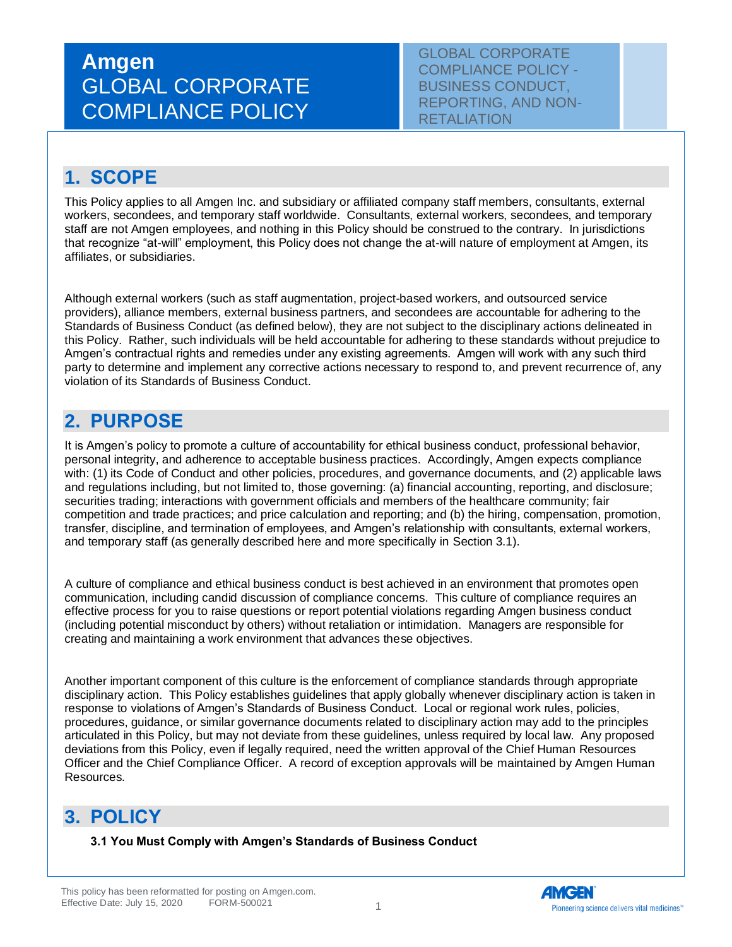GLOBAL CORPORATE COMPLIANCE POLICY - BUSINESS CONDUCT, REPORTING, AND NON-**RETALIATION** 

### **1. SCOPE**

This Policy applies to all Amgen Inc. and subsidiary or affiliated company staff members, consultants, external workers, secondees, and temporary staff worldwide. Consultants, external workers, secondees, and temporary staff are not Amgen employees, and nothing in this Policy should be construed to the contrary. In jurisdictions that recognize "at-will" employment, this Policy does not change the at-will nature of employment at Amgen, its affiliates, or subsidiaries.

Although external workers (such as staff augmentation, project-based workers, and outsourced service providers), alliance members, external business partners, and secondees are accountable for adhering to the Standards of Business Conduct (as defined below), they are not subject to the disciplinary actions delineated in this Policy. Rather, such individuals will be held accountable for adhering to these standards without prejudice to Amgen's contractual rights and remedies under any existing agreements. Amgen will work with any such third party to determine and implement any corrective actions necessary to respond to, and prevent recurrence of, any violation of its Standards of Business Conduct.

### **2. PURPOSE**

It is Amgen's policy to promote a culture of accountability for ethical business conduct, professional behavior, personal integrity, and adherence to acceptable business practices. Accordingly, Amgen expects compliance with: (1) its Code of Conduct and other policies, procedures, and governance documents, and (2) applicable laws and regulations including, but not limited to, those governing: (a) financial accounting, reporting, and disclosure; securities trading; interactions with government officials and members of the healthcare community; fair competition and trade practices; and price calculation and reporting; and (b) the hiring, compensation, promotion, transfer, discipline, and termination of employees, and Amgen's relationship with consultants, external workers, and temporary staff (as generally described here and more specifically in Section 3.1).

A culture of compliance and ethical business conduct is best achieved in an environment that promotes open communication, including candid discussion of compliance concerns. This culture of compliance requires an effective process for you to raise questions or report potential violations regarding Amgen business conduct (including potential misconduct by others) without retaliation or intimidation. Managers are responsible for creating and maintaining a work environment that advances these objectives.

Another important component of this culture is the enforcement of compliance standards through appropriate disciplinary action. This Policy establishes guidelines that apply globally whenever disciplinary action is taken in response to violations of Amgen's Standards of Business Conduct. Local or regional work rules, policies, procedures, guidance, or similar governance documents related to disciplinary action may add to the principles articulated in this Policy, but may not deviate from these guidelines, unless required by local law. Any proposed deviations from this Policy, even if legally required, need the written approval of the Chief Human Resources Officer and the Chief Compliance Officer. A record of exception approvals will be maintained by Amgen Human Resources.

### **3. POLICY**

**3.1 You Must Comply with Amgen's Standards of Business Conduct**

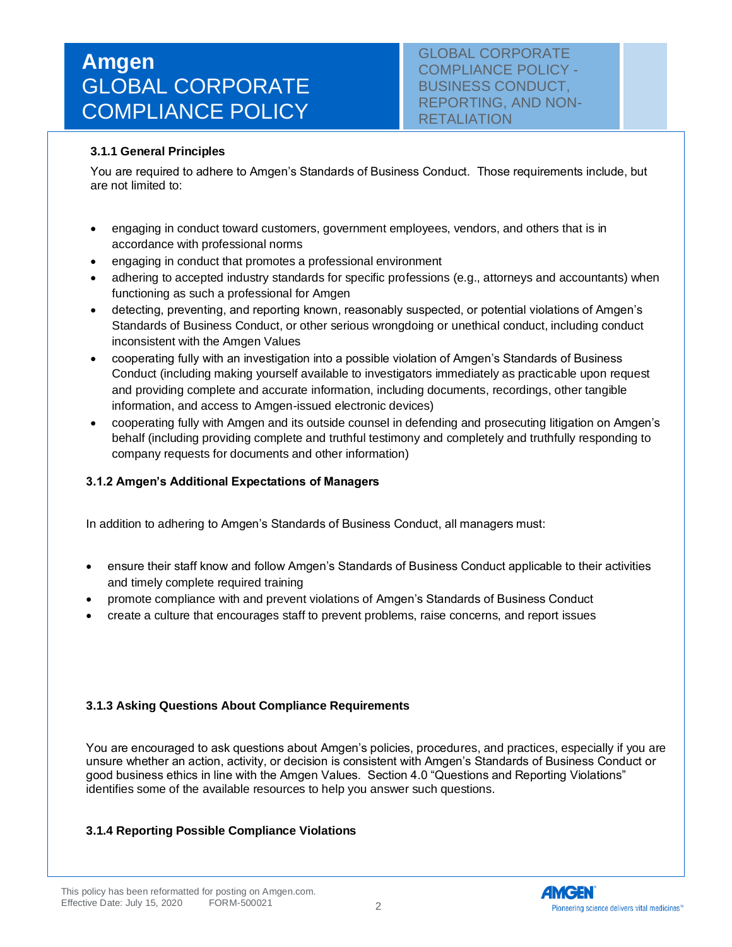GLOBAL CORPORATE COMPLIANCE POLICY - BUSINESS CONDUCT, REPORTING, AND NON-RETALIATION

#### **3.1.1 General Principles**

You are required to adhere to Amgen's Standards of Business Conduct. Those requirements include, but are not limited to:

- engaging in conduct toward customers, government employees, vendors, and others that is in accordance with professional norms
- engaging in conduct that promotes a professional environment
- adhering to accepted industry standards for specific professions (e.g., attorneys and accountants) when functioning as such a professional for Amgen
- detecting, preventing, and reporting known, reasonably suspected, or potential violations of Amgen's Standards of Business Conduct, or other serious wrongdoing or unethical conduct, including conduct inconsistent with the Amgen Values
- cooperating fully with an investigation into a possible violation of Amgen's Standards of Business Conduct (including making yourself available to investigators immediately as practicable upon request and providing complete and accurate information, including documents, recordings, other tangible information, and access to Amgen-issued electronic devices)
- cooperating fully with Amgen and its outside counsel in defending and prosecuting litigation on Amgen's behalf (including providing complete and truthful testimony and completely and truthfully responding to company requests for documents and other information)

#### **3.1.2 Amgen's Additional Expectations of Managers**

In addition to adhering to Amgen's Standards of Business Conduct, all managers must:

- ensure their staff know and follow Amgen's Standards of Business Conduct applicable to their activities and timely complete required training
- promote compliance with and prevent violations of Amgen's Standards of Business Conduct
- create a culture that encourages staff to prevent problems, raise concerns, and report issues

#### **3.1.3 Asking Questions About Compliance Requirements**

You are encouraged to ask questions about Amgen's policies, procedures, and practices, especially if you are unsure whether an action, activity, or decision is consistent with Amgen's Standards of Business Conduct or good business ethics in line with the Amgen Values. Section 4.0 "Questions and Reporting Violations" identifies some of the available resources to help you answer such questions.

#### **3.1.4 Reporting Possible Compliance Violations**

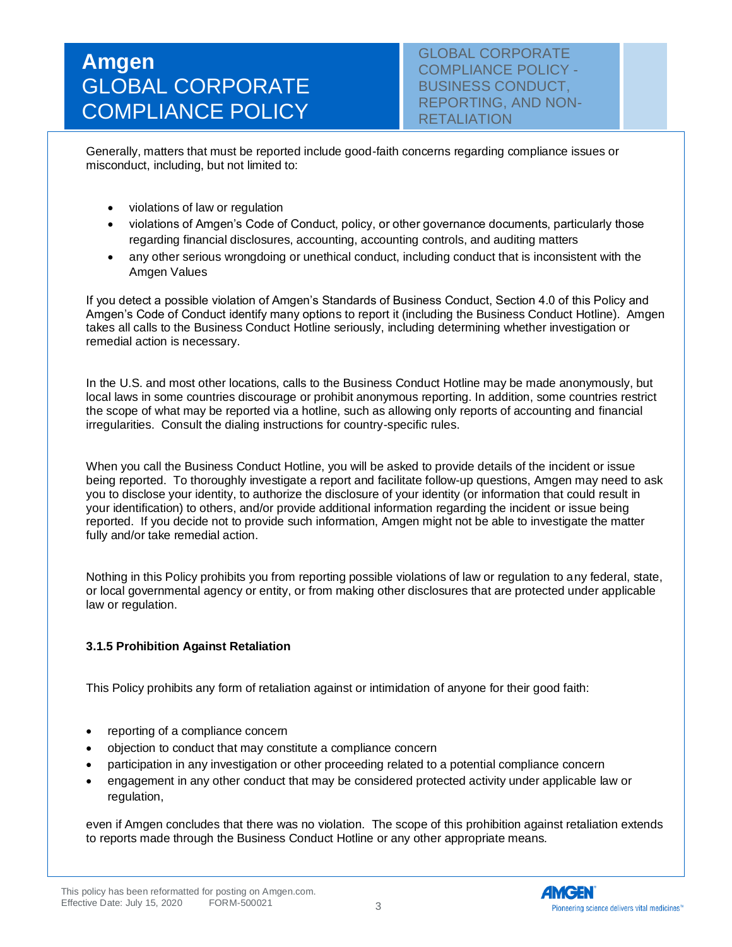GLOBAL CORPORATE COMPLIANCE POLICY - BUSINESS CONDUCT, REPORTING, AND NON-**RETALIATION** 

Generally, matters that must be reported include good-faith concerns regarding compliance issues or misconduct, including, but not limited to:

- violations of law or regulation
- violations of Amgen's Code of Conduct, policy, or other governance documents, particularly those regarding financial disclosures, accounting, accounting controls, and auditing matters
- any other serious wrongdoing or unethical conduct, including conduct that is inconsistent with the Amgen Values

If you detect a possible violation of Amgen's Standards of Business Conduct, Section 4.0 of this Policy and Amgen's Code of Conduct identify many options to report it (including the Business Conduct Hotline). Amgen takes all calls to the Business Conduct Hotline seriously, including determining whether investigation or remedial action is necessary.

In the U.S. and most other locations, calls to the Business Conduct Hotline may be made anonymously, but local laws in some countries discourage or prohibit anonymous reporting. In addition, some countries restrict the scope of what may be reported via a hotline, such as allowing only reports of accounting and financial irregularities. Consult the dialing instructions for country-specific rules.

When you call the Business Conduct Hotline, you will be asked to provide details of the incident or issue being reported. To thoroughly investigate a report and facilitate follow-up questions, Amgen may need to ask you to disclose your identity, to authorize the disclosure of your identity (or information that could result in your identification) to others, and/or provide additional information regarding the incident or issue being reported. If you decide not to provide such information, Amgen might not be able to investigate the matter fully and/or take remedial action.

Nothing in this Policy prohibits you from reporting possible violations of law or regulation to any federal, state, or local governmental agency or entity, or from making other disclosures that are protected under applicable law or regulation.

#### **3.1.5 Prohibition Against Retaliation**

This Policy prohibits any form of retaliation against or intimidation of anyone for their good faith:

- reporting of a compliance concern
- objection to conduct that may constitute a compliance concern
- participation in any investigation or other proceeding related to a potential compliance concern
- engagement in any other conduct that may be considered protected activity under applicable law or regulation,

even if Amgen concludes that there was no violation. The scope of this prohibition against retaliation extends to reports made through the Business Conduct Hotline or any other appropriate means.

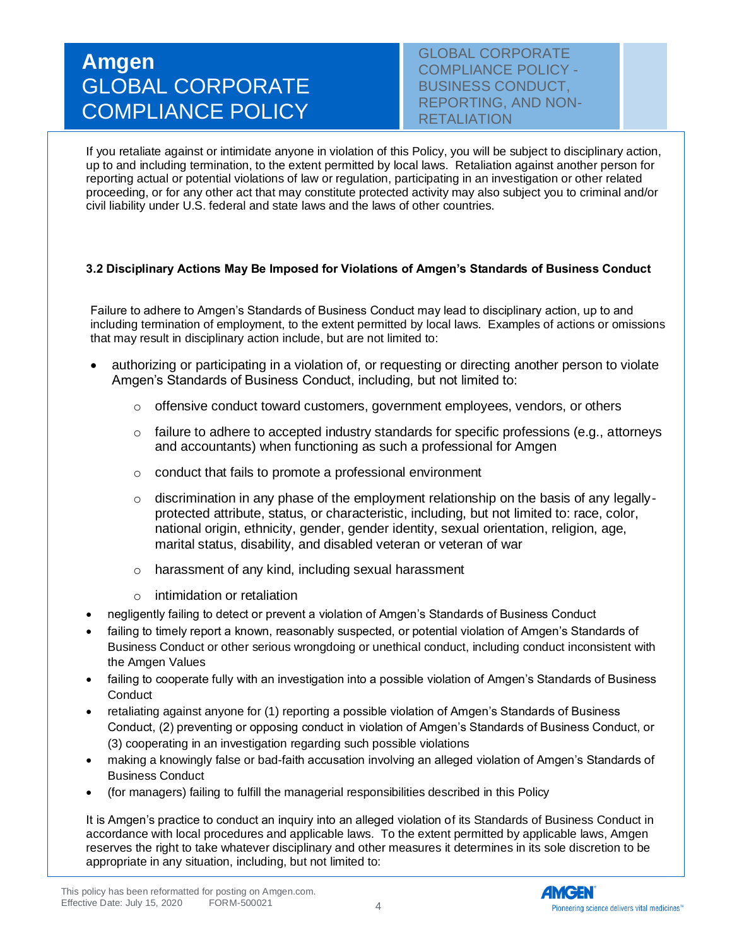GLOBAL CORPORATE COMPLIANCE POLICY - BUSINESS CONDUCT, REPORTING, AND NON-RETALIATION

If you retaliate against or intimidate anyone in violation of this Policy, you will be subject to disciplinary action, up to and including termination, to the extent permitted by local laws. Retaliation against another person for reporting actual or potential violations of law or regulation, participating in an investigation or other related proceeding, or for any other act that may constitute protected activity may also subject you to criminal and/or civil liability under U.S. federal and state laws and the laws of other countries.

#### **3.2 Disciplinary Actions May Be Imposed for Violations of Amgen's Standards of Business Conduct**

Failure to adhere to Amgen's Standards of Business Conduct may lead to disciplinary action, up to and including termination of employment, to the extent permitted by local laws. Examples of actions or omissions that may result in disciplinary action include, but are not limited to:

- authorizing or participating in a violation of, or requesting or directing another person to violate Amgen's Standards of Business Conduct, including, but not limited to:
	- $\circ$  offensive conduct toward customers, government employees, vendors, or others
	- $\circ$  failure to adhere to accepted industry standards for specific professions (e.g., attorneys and accountants) when functioning as such a professional for Amgen
	- o conduct that fails to promote a professional environment
	- $\circ$  discrimination in any phase of the employment relationship on the basis of any legallyprotected attribute, status, or characteristic, including, but not limited to: race, color, national origin, ethnicity, gender, gender identity, sexual orientation, religion, age, marital status, disability, and disabled veteran or veteran of war
	- o harassment of any kind, including sexual harassment
	- o intimidation or retaliation
- negligently failing to detect or prevent a violation of Amgen's Standards of Business Conduct
- failing to timely report a known, reasonably suspected, or potential violation of Amgen's Standards of Business Conduct or other serious wrongdoing or unethical conduct, including conduct inconsistent with the Amgen Values
- failing to cooperate fully with an investigation into a possible violation of Amgen's Standards of Business **Conduct**
- retaliating against anyone for (1) reporting a possible violation of Amgen's Standards of Business Conduct, (2) preventing or opposing conduct in violation of Amgen's Standards of Business Conduct, or (3) cooperating in an investigation regarding such possible violations
- making a knowingly false or bad-faith accusation involving an alleged violation of Amgen's Standards of Business Conduct
- (for managers) failing to fulfill the managerial responsibilities described in this Policy

It is Amgen's practice to conduct an inquiry into an alleged violation of its Standards of Business Conduct in accordance with local procedures and applicable laws. To the extent permitted by applicable laws, Amgen reserves the right to take whatever disciplinary and other measures it determines in its sole discretion to be appropriate in any situation, including, but not limited to: